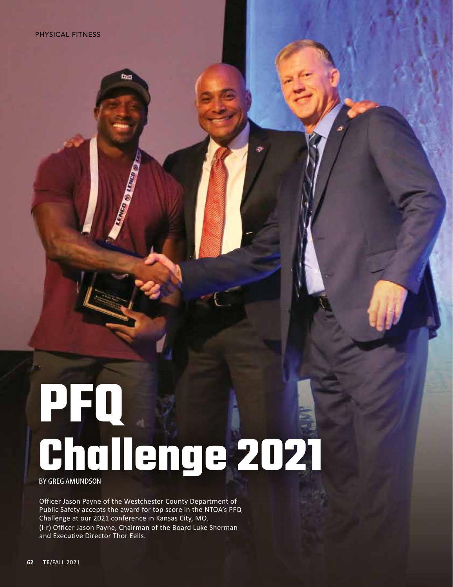Dam

# **PFQ**  Challenge 2021

Officer Jason Payne of the Westchester County Department of Public Safety accepts the award for top score in the NTOA's PFQ Challenge at our 2021 conference in Kansas City, MO. (l-r) Officer Jason Payne, Chairman of the Board Luke Sherman and Executive Director Thor Eells.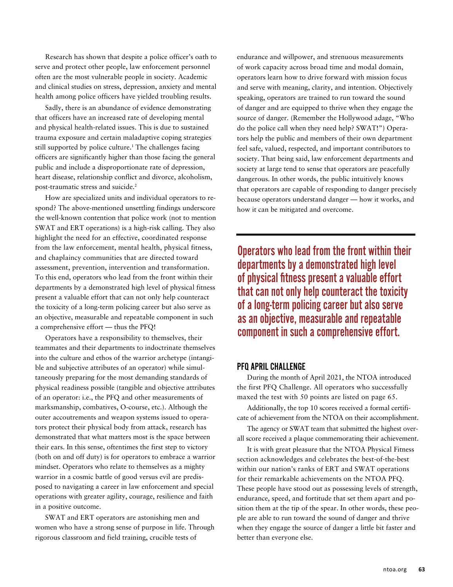Research has shown that despite a police officer's oath to serve and protect other people, law enforcement personnel often are the most vulnerable people in society. Academic and clinical studies on stress, depression, anxiety and mental health among police officers have yielded troubling results.

Sadly, there is an abundance of evidence demonstrating that officers have an increased rate of developing mental and physical health-related issues. This is due to sustained trauma exposure and certain maladaptive coping strategies still supported by police culture.<sup>1</sup> The challenges facing officers are significantly higher than those facing the general public and include a disproportionate rate of depression, heart disease, relationship conflict and divorce, alcoholism, post-traumatic stress and suicide.<sup>2</sup>

How are specialized units and individual operators to respond? The above-mentioned unsettling findings underscore the well-known contention that police work (not to mention SWAT and ERT operations) is a high-risk calling. They also highlight the need for an effective, coordinated response from the law enforcement, mental health, physical fitness, and chaplaincy communities that are directed toward assessment, prevention, intervention and transformation. To this end, operators who lead from the front within their departments by a demonstrated high level of physical fitness present a valuable effort that can not only help counteract the toxicity of a long-term policing career but also serve as an objective, measurable and repeatable component in such a comprehensive effort — thus the PFQ!

Operators have a responsibility to themselves, their teammates and their departments to indoctrinate themselves into the culture and ethos of the warrior archetype (intangible and subjective attributes of an operator) while simultaneously preparing for the most demanding standards of physical readiness possible (tangible and objective attributes of an operator: i.e., the PFQ and other measurements of marksmanship, combatives, O-course, etc.). Although the outer accoutrements and weapon systems issued to operators protect their physical body from attack, research has demonstrated that what matters most is the space between their ears. In this sense, oftentimes the first step to victory (both on and off duty) is for operators to embrace a warrior mindset. Operators who relate to themselves as a mighty warrior in a cosmic battle of good versus evil are predisposed to navigating a career in law enforcement and special operations with greater agility, courage, resilience and faith in a positive outcome.

SWAT and ERT operators are astonishing men and women who have a strong sense of purpose in life. Through rigorous classroom and field training, crucible tests of

endurance and willpower, and strenuous measurements of work capacity across broad time and modal domain, operators learn how to drive forward with mission focus and serve with meaning, clarity, and intention. Objectively speaking, operators are trained to run toward the sound of danger and are equipped to thrive when they engage the source of danger. (Remember the Hollywood adage, "Who do the police call when they need help? SWAT!") Operators help the public and members of their own department feel safe, valued, respected, and important contributors to society. That being said, law enforcement departments and society at large tend to sense that operators are peacefully dangerous. In other words, the public intuitively knows that operators are capable of responding to danger precisely because operators understand danger — how it works, and how it can be mitigated and overcome.

Operators who lead from the front within their departments by a demonstrated high level of physical fitness present a valuable effort that can not only help counteract the toxicity of a long-term policing career but also serve as an objective, measurable and repeatable component in such a comprehensive effort.

#### PFQ APRIL CHALLENGE

During the month of April 2021, the NTOA introduced the first PFQ Challenge. All operators who successfully maxed the test with 50 points are listed on page 65.

Additionally, the top 10 scores received a formal certificate of achievement from the NTOA on their accomplishment.

The agency or SWAT team that submitted the highest overall score received a plaque commemorating their achievement.

It is with great pleasure that the NTOA Physical Fitness section acknowledges and celebrates the best-of-the-best within our nation's ranks of ERT and SWAT operations for their remarkable achievements on the NTOA PFQ. These people have stood out as possessing levels of strength, endurance, speed, and fortitude that set them apart and position them at the tip of the spear. In other words, these people are able to run toward the sound of danger and thrive when they engage the source of danger a little bit faster and better than everyone else.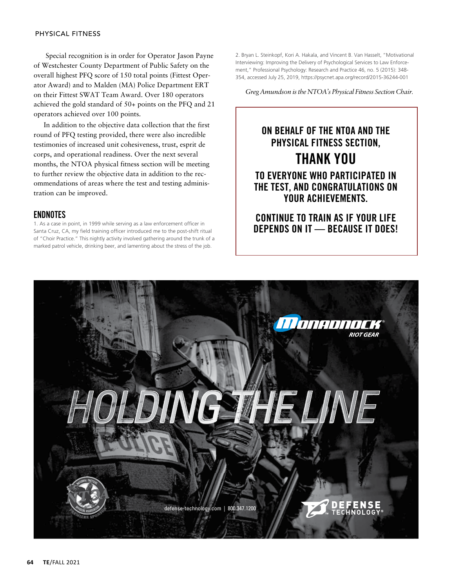#### PHYSICAL FITNESS

 Special recognition is in order for Operator Jason Payne of Westchester County Department of Public Safety on the overall highest PFQ score of 150 total points (Fittest Operator Award) and to Malden (MA) Police Department ERT on their Fittest SWAT Team Award. Over 180 operators achieved the gold standard of 50+ points on the PFQ and 21 operators achieved over 100 points.

In addition to the objective data collection that the first round of PFQ testing provided, there were also incredible testimonies of increased unit cohesiveness, trust, esprit de corps, and operational readiness. Over the next several months, the NTOA physical fitness section will be meeting to further review the objective data in addition to the recommendations of areas where the test and testing administration can be improved.

### **ENDNOTES**

1. As a case in point, in 1999 while serving as a law enforcement officer in Santa Cruz, CA, my field training officer introduced me to the post-shift ritual of "Choir Practice." This nightly activity involved gathering around the trunk of a marked patrol vehicle, drinking beer, and lamenting about the stress of the job.

2. Bryan L. Steinkopf, Kori A. Hakala, and Vincent B. Van Hasselt, "Motivational Interviewing: Improving the Delivery of Psychological Services to Law Enforcement," Professional Psychology: Research and Practice 46, no. 5 (2015): 348- 354, accessed July 25, 2019, https://psycnet.apa.org/record/2015-36244-001

Greg Amundson is the NTOA's Physical Fitness Section Chair.

## **ON BEHALF OF THE NTOA AND THE PHYSICAL FITNESS SECTION, THANK YOU TO EVERYONE WHO PARTICIPATED IN**

## **THE TEST, AND CONGRATULATIONS ON YOUR ACHIEVEMENTS.**

## **CONTINUE TO TRAIN AS IF YOUR LIFE DEPENDS ON IT — BECAUSE IT DOES!**